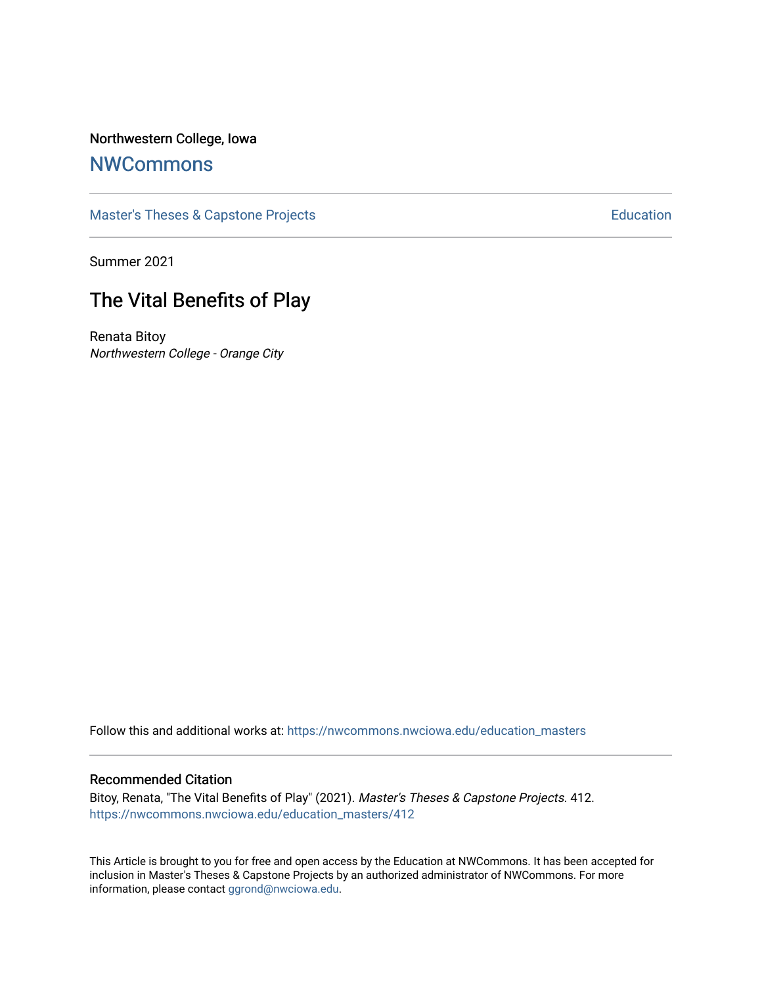### Northwestern College, Iowa

## **[NWCommons](https://nwcommons.nwciowa.edu/)**

[Master's Theses & Capstone Projects](https://nwcommons.nwciowa.edu/education_masters) **Education** Education

Summer 2021

# The Vital Benefits of Play

Renata Bitoy Northwestern College - Orange City

Follow this and additional works at: [https://nwcommons.nwciowa.edu/education\\_masters](https://nwcommons.nwciowa.edu/education_masters?utm_source=nwcommons.nwciowa.edu%2Feducation_masters%2F412&utm_medium=PDF&utm_campaign=PDFCoverPages)

#### Recommended Citation

Bitoy, Renata, "The Vital Benefits of Play" (2021). Master's Theses & Capstone Projects. 412. [https://nwcommons.nwciowa.edu/education\\_masters/412](https://nwcommons.nwciowa.edu/education_masters/412?utm_source=nwcommons.nwciowa.edu%2Feducation_masters%2F412&utm_medium=PDF&utm_campaign=PDFCoverPages)

This Article is brought to you for free and open access by the Education at NWCommons. It has been accepted for inclusion in Master's Theses & Capstone Projects by an authorized administrator of NWCommons. For more information, please contact [ggrond@nwciowa.edu](mailto:ggrond@nwciowa.edu).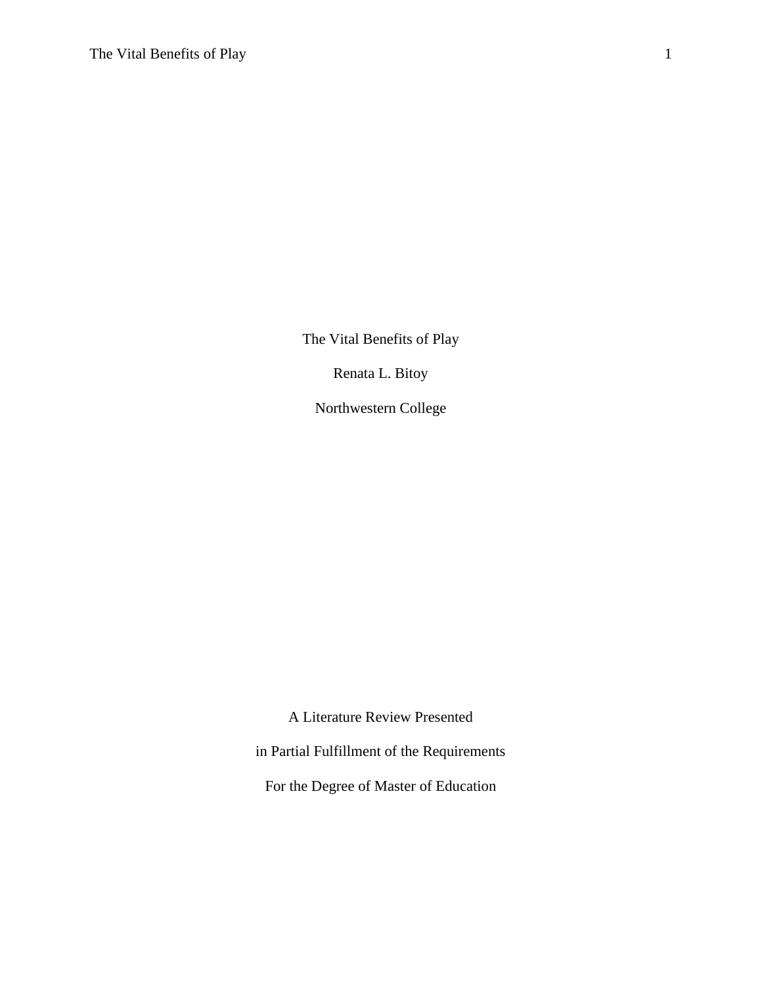The Vital Benefits of Play

Renata L. Bitoy

Northwestern College

A Literature Review Presented

in Partial Fulfillment of the Requirements

For the Degree of Master of Education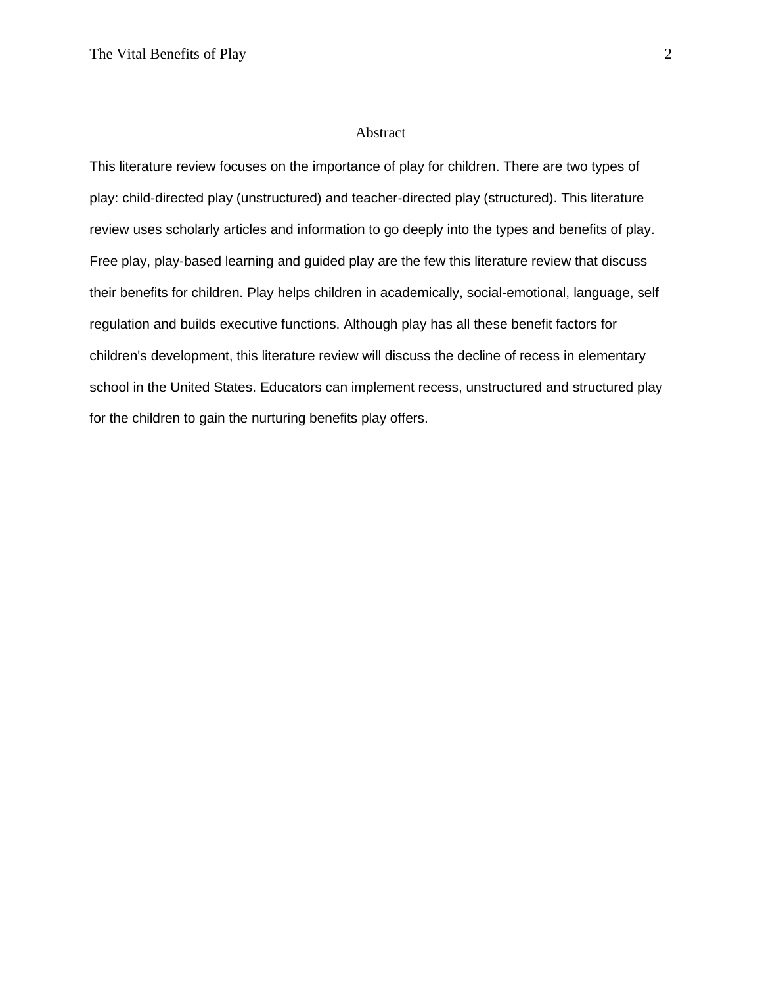#### Abstract

This literature review focuses on the importance of play for children. There are two types of play: child-directed play (unstructured) and teacher-directed play (structured). This literature review uses scholarly articles and information to go deeply into the types and benefits of play. Free play, play-based learning and guided play are the few this literature review that discuss their benefits for children. Play helps children in academically, social-emotional, language, self regulation and builds executive functions. Although play has all these benefit factors for children's development, this literature review will discuss the decline of recess in elementary school in the United States. Educators can implement recess, unstructured and structured play for the children to gain the nurturing benefits play offers.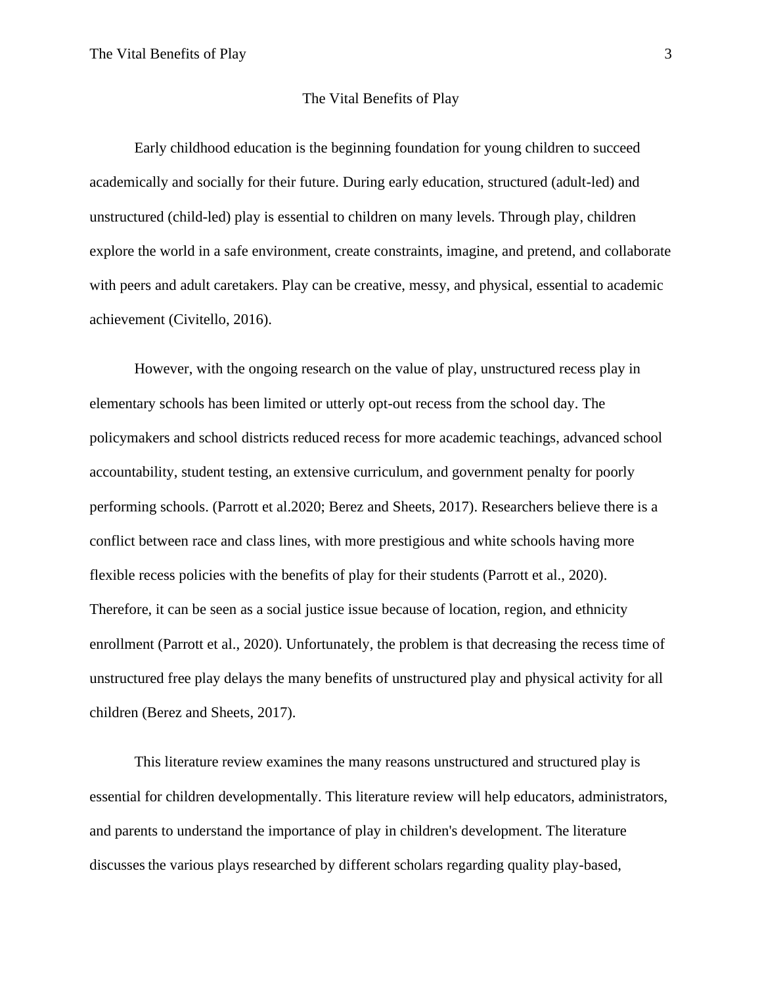#### The Vital Benefits of Play

Early childhood education is the beginning foundation for young children to succeed academically and socially for their future. During early education, structured (adult-led) and unstructured (child-led) play is essential to children on many levels. Through play, children explore the world in a safe environment, create constraints, imagine, and pretend, and collaborate with peers and adult caretakers. Play can be creative, messy, and physical, essential to academic achievement (Civitello, 2016).

However, with the ongoing research on the value of play, unstructured recess play in elementary schools has been limited or utterly opt-out recess from the school day. The policymakers and school districts reduced recess for more academic teachings, advanced school accountability, student testing, an extensive curriculum, and government penalty for poorly performing schools. (Parrott et al.2020; Berez and Sheets, 2017). Researchers believe there is a conflict between race and class lines, with more prestigious and white schools having more flexible recess policies with the benefits of play for their students (Parrott et al., 2020). Therefore, it can be seen as a social justice issue because of location, region, and ethnicity enrollment (Parrott et al., 2020). Unfortunately, the problem is that decreasing the recess time of unstructured free play delays the many benefits of unstructured play and physical activity for all children (Berez and Sheets, 2017).

This literature review examines the many reasons unstructured and structured play is essential for children developmentally. This literature review will help educators, administrators, and parents to understand the importance of play in children's development. The literature discussesthe various plays researched by different scholars regarding quality play-based,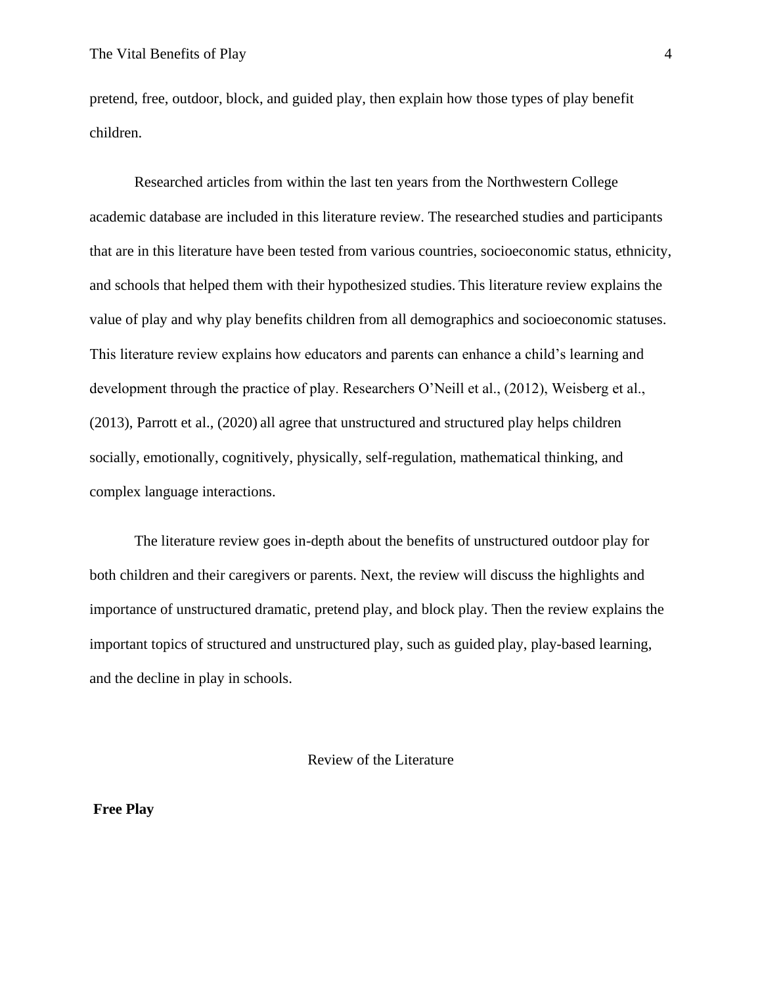pretend, free, outdoor, block, and guided play, then explain how those types of play benefit children.

Researched articles from within the last ten years from the Northwestern College academic database are included in this literature review. The researched studies and participants that are in this literature have been tested from various countries, socioeconomic status, ethnicity, and schools that helped them with their hypothesized studies. This literature review explains the value of play and why play benefits children from all demographics and socioeconomic statuses. This literature review explains how educators and parents can enhance a child's learning and development through the practice of play. Researchers O'Neill et al., (2012), Weisberg et al., (2013), Parrott et al., (2020) all agree that unstructured and structured play helps children socially, emotionally, cognitively, physically, self-regulation, mathematical thinking, and complex language interactions.

The literature review goes in-depth about the benefits of unstructured outdoor play for both children and their caregivers or parents. Next, the review will discuss the highlights and importance of unstructured dramatic, pretend play, and block play. Then the review explains the important topics of structured and unstructured play, such as guided play, play-based learning, and the decline in play in schools.

Review of the Literature

**Free Play**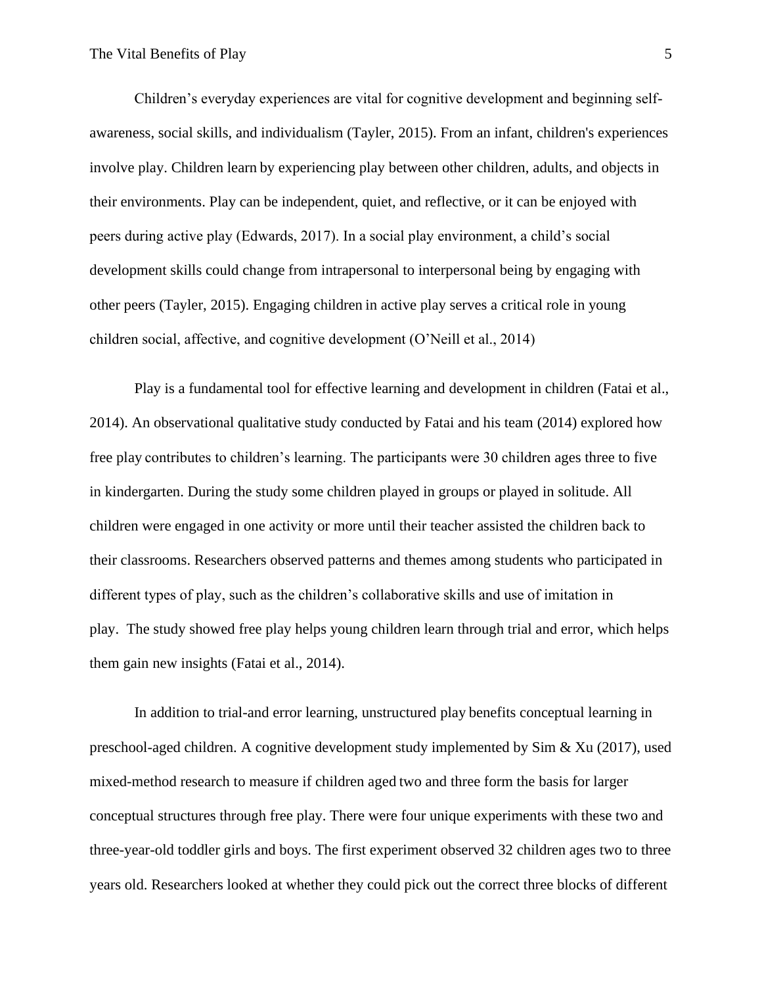Children's everyday experiences are vital for cognitive development and beginning selfawareness, social skills, and individualism (Tayler, 2015). From an infant, children's experiences involve play. Children learn by experiencing play between other children, adults, and objects in their environments. Play can be independent, quiet, and reflective, or it can be enjoyed with peers during active play (Edwards, 2017). In a social play environment, a child's social development skills could change from intrapersonal to interpersonal being by engaging with other peers (Tayler, 2015). Engaging children in active play serves a critical role in young children social, affective, and cognitive development (O'Neill et al., 2014)

 Play is a fundamental tool for effective learning and development in children (Fatai et al., 2014). An observational qualitative study conducted by Fatai and his team (2014) explored how free play contributes to children's learning. The participants were 30 children ages three to five in kindergarten. During the study some children played in groups or played in solitude. All children were engaged in one activity or more until their teacher assisted the children back to their classrooms. Researchers observed patterns and themes among students who participated in different types of play, such as the children's collaborative skills and use of imitation in play. The study showed free play helps young children learn through trial and error, which helps them gain new insights (Fatai et al., 2014).

In addition to trial-and error learning, unstructured play benefits conceptual learning in preschool-aged children. A cognitive development study implemented by Sim & Xu (2017), used mixed-method research to measure if children aged two and three form the basis for larger conceptual structures through free play. There were four unique experiments with these two and three-year-old toddler girls and boys. The first experiment observed 32 children ages two to three years old. Researchers looked at whether they could pick out the correct three blocks of different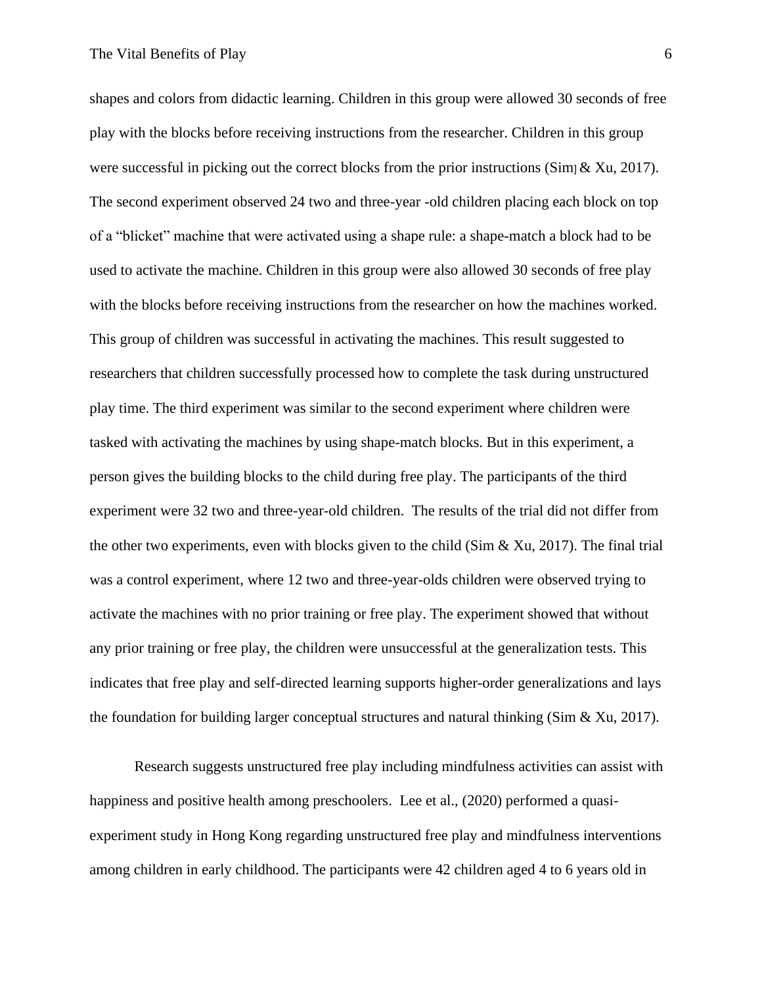shapes and colors from didactic learning. Children in this group were allowed 30 seconds of free play with the blocks before receiving instructions from the researcher. Children in this group were successful in picking out the correct blocks from the prior instructions (Sim $\&$  Xu, 2017). The second experiment observed 24 two and three-year -old children placing each block on top of a "blicket" machine that were activated using a shape rule: a shape-match a block had to be used to activate the machine. Children in this group were also allowed 30 seconds of free play with the blocks before receiving instructions from the researcher on how the machines worked. This group of children was successful in activating the machines. This result suggested to researchers that children successfully processed how to complete the task during unstructured play time. The third experiment was similar to the second experiment where children were tasked with activating the machines by using shape-match blocks. But in this experiment, a person gives the building blocks to the child during free play. The participants of the third experiment were 32 two and three-year-old children. The results of the trial did not differ from the other two experiments, even with blocks given to the child (Sim & Xu, 2017). The final trial was a control experiment, where 12 two and three-year-olds children were observed trying to activate the machines with no prior training or free play. The experiment showed that without any prior training or free play, the children were unsuccessful at the generalization tests. This indicates that free play and self-directed learning supports higher-order generalizations and lays the foundation for building larger conceptual structures and natural thinking (Sim  $\&$  Xu, 2017).

Research suggests unstructured free play including mindfulness activities can assist with happiness and positive health among preschoolers. Lee et al., (2020) performed a quasiexperiment study in Hong Kong regarding unstructured free play and mindfulness interventions among children in early childhood. The participants were 42 children aged 4 to 6 years old in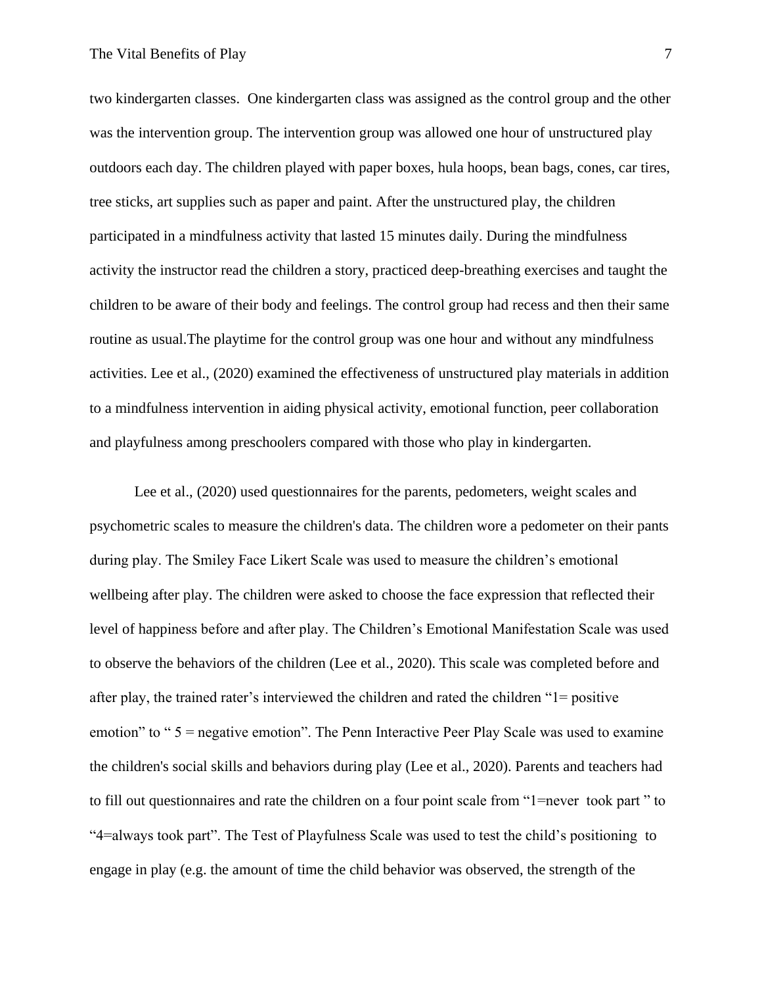two kindergarten classes. One kindergarten class was assigned as the control group and the other was the intervention group. The intervention group was allowed one hour of unstructured play outdoors each day. The children played with paper boxes, hula hoops, bean bags, cones, car tires, tree sticks, art supplies such as paper and paint. After the unstructured play, the children participated in a mindfulness activity that lasted 15 minutes daily. During the mindfulness activity the instructor read the children a story, practiced deep-breathing exercises and taught the children to be aware of their body and feelings. The control group had recess and then their same routine as usual.The playtime for the control group was one hour and without any mindfulness activities. Lee et al., (2020) examined the effectiveness of unstructured play materials in addition to a mindfulness intervention in aiding physical activity, emotional function, peer collaboration and playfulness among preschoolers compared with those who play in kindergarten.

Lee et al., (2020) used questionnaires for the parents, pedometers, weight scales and psychometric scales to measure the children's data. The children wore a pedometer on their pants during play. The Smiley Face Likert Scale was used to measure the children's emotional wellbeing after play. The children were asked to choose the face expression that reflected their level of happiness before and after play. The Children's Emotional Manifestation Scale was used to observe the behaviors of the children (Lee et al., 2020). This scale was completed before and after play, the trained rater's interviewed the children and rated the children "1= positive emotion" to "  $5$  = negative emotion". The Penn Interactive Peer Play Scale was used to examine the children's social skills and behaviors during play (Lee et al., 2020). Parents and teachers had to fill out questionnaires and rate the children on a four point scale from "1=never took part " to "4=always took part". The Test of Playfulness Scale was used to test the child's positioning to engage in play (e.g. the amount of time the child behavior was observed, the strength of the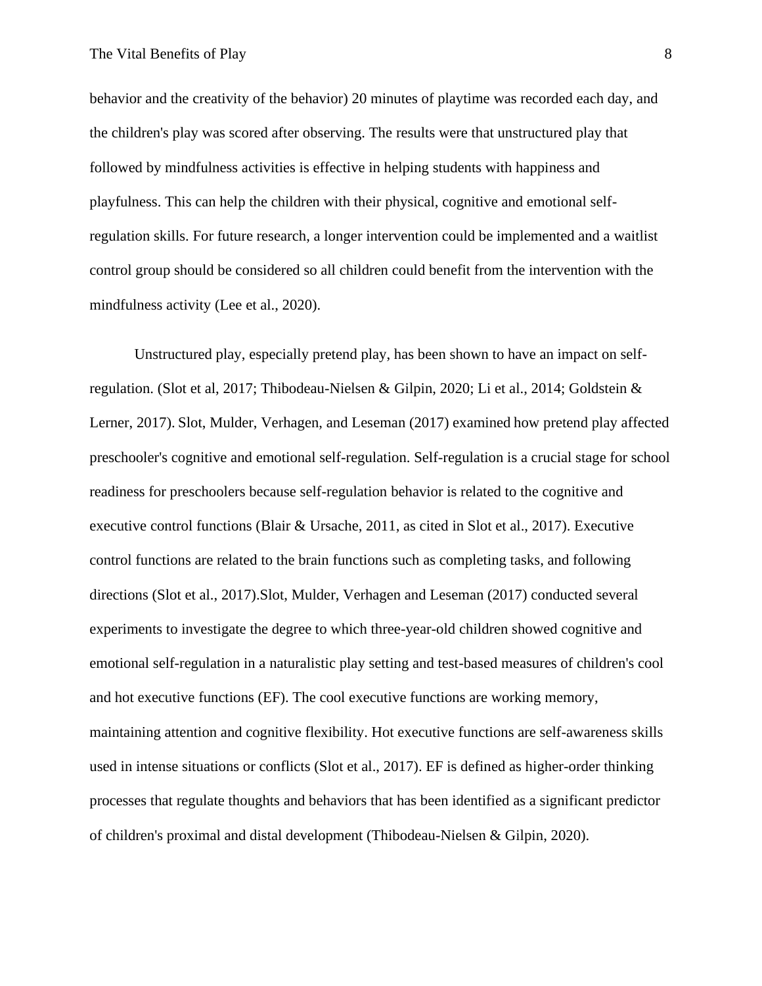behavior and the creativity of the behavior) 20 minutes of playtime was recorded each day, and the children's play was scored after observing. The results were that unstructured play that followed by mindfulness activities is effective in helping students with happiness and playfulness. This can help the children with their physical, cognitive and emotional selfregulation skills. For future research, a longer intervention could be implemented and a waitlist control group should be considered so all children could benefit from the intervention with the mindfulness activity (Lee et al., 2020).

Unstructured play, especially pretend play, has been shown to have an impact on selfregulation. (Slot et al, 2017; Thibodeau-Nielsen & Gilpin, 2020; Li et al., 2014; Goldstein & Lerner, 2017). Slot, Mulder, Verhagen, and Leseman (2017) examined how pretend play affected preschooler's cognitive and emotional self-regulation. Self-regulation is a crucial stage for school readiness for preschoolers because self-regulation behavior is related to the cognitive and executive control functions (Blair & Ursache, 2011, as cited in Slot et al., 2017). Executive control functions are related to the brain functions such as completing tasks, and following directions (Slot et al., 2017).Slot, Mulder, Verhagen and Leseman (2017) conducted several experiments to investigate the degree to which three-year-old children showed cognitive and emotional self-regulation in a naturalistic play setting and test-based measures of children's cool and hot executive functions (EF). The cool executive functions are working memory, maintaining attention and cognitive flexibility. Hot executive functions are self-awareness skills used in intense situations or conflicts (Slot et al., 2017). EF is defined as higher-order thinking processes that regulate thoughts and behaviors that has been identified as a significant predictor of children's proximal and distal development (Thibodeau-Nielsen & Gilpin, 2020).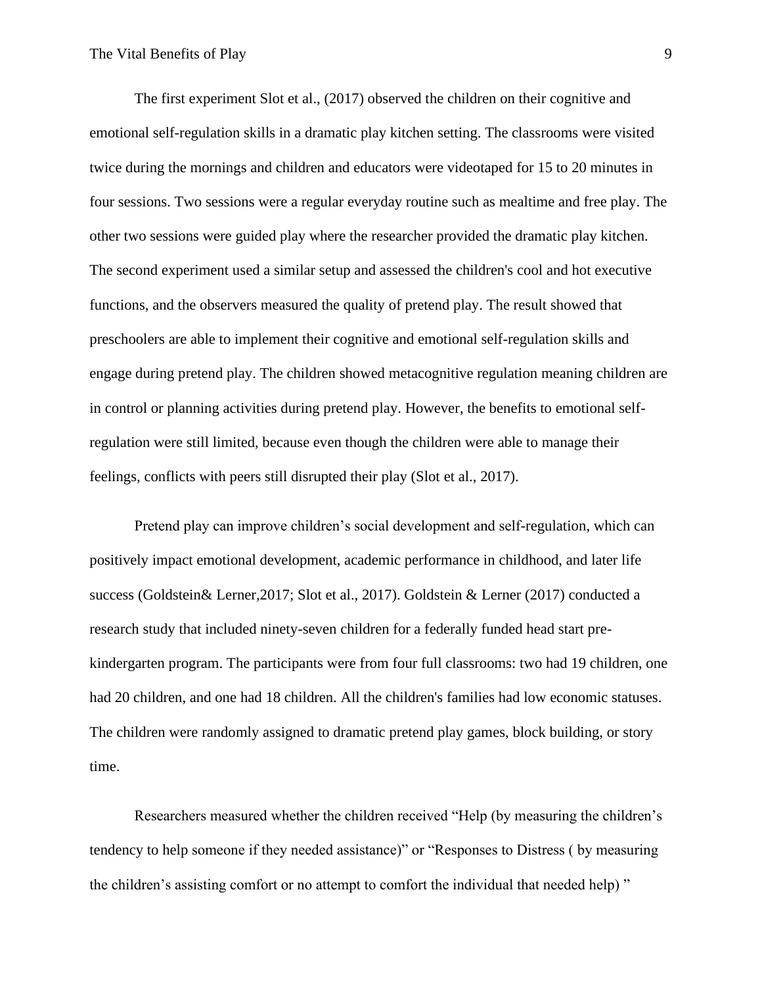The first experiment Slot et al., (2017) observed the children on their cognitive and emotional self-regulation skills in a dramatic play kitchen setting. The classrooms were visited twice during the mornings and children and educators were videotaped for 15 to 20 minutes in four sessions. Two sessions were a regular everyday routine such as mealtime and free play. The other two sessions were guided play where the researcher provided the dramatic play kitchen. The second experiment used a similar setup and assessed the children's cool and hot executive functions, and the observers measured the quality of pretend play. The result showed that preschoolers are able to implement their cognitive and emotional self-regulation skills and engage during pretend play. The children showed metacognitive regulation meaning children are in control or planning activities during pretend play. However, the benefits to emotional selfregulation were still limited, because even though the children were able to manage their feelings, conflicts with peers still disrupted their play (Slot et al., 2017).

Pretend play can improve children's social development and self-regulation, which can positively impact emotional development, academic performance in childhood, and later life success (Goldstein& Lerner,2017; Slot et al., 2017). Goldstein & Lerner (2017) conducted a research study that included ninety-seven children for a federally funded head start prekindergarten program. The participants were from four full classrooms: two had 19 children, one had 20 children, and one had 18 children. All the children's families had low economic statuses. The children were randomly assigned to dramatic pretend play games, block building, or story time.

Researchers measured whether the children received "Help (by measuring the children's tendency to help someone if they needed assistance)" or "Responses to Distress ( by measuring the children's assisting comfort or no attempt to comfort the individual that needed help) "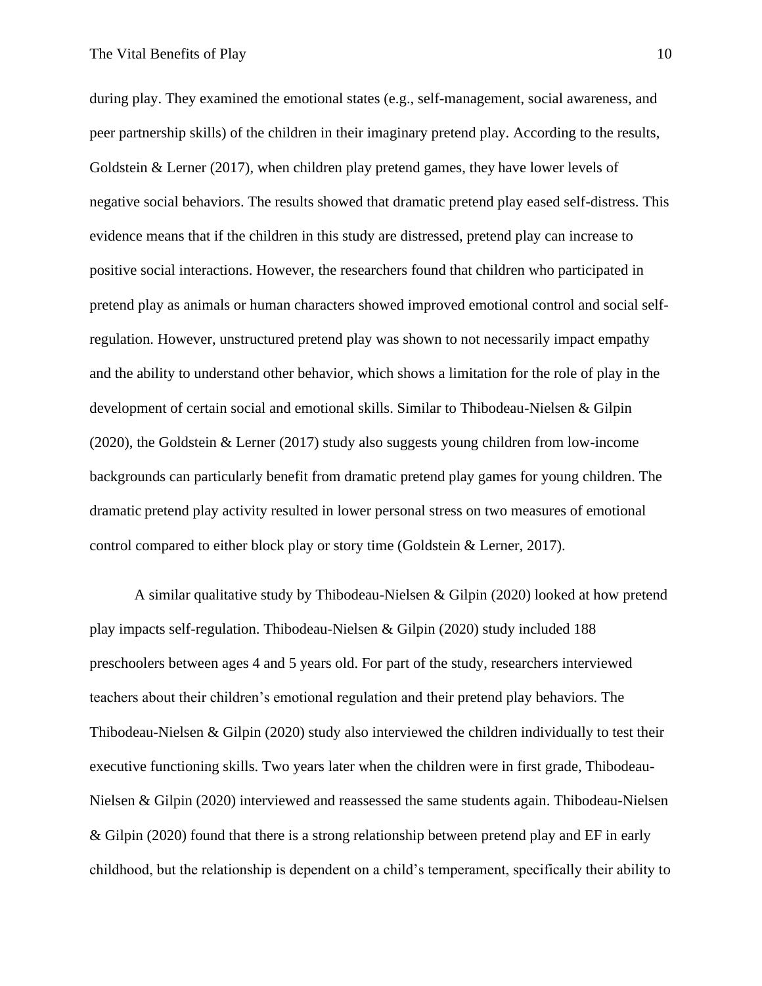during play. They examined the emotional states (e.g., self-management, social awareness, and peer partnership skills) of the children in their imaginary pretend play. According to the results, Goldstein & Lerner (2017), when children play pretend games, they have lower levels of negative social behaviors. The results showed that dramatic pretend play eased self-distress. This evidence means that if the children in this study are distressed, pretend play can increase to positive social interactions. However, the researchers found that children who participated in pretend play as animals or human characters showed improved emotional control and social selfregulation. However, unstructured pretend play was shown to not necessarily impact empathy and the ability to understand other behavior, which shows a limitation for the role of play in the development of certain social and emotional skills. Similar to Thibodeau-Nielsen & Gilpin (2020), the Goldstein & Lerner (2017) study also suggests young children from low-income backgrounds can particularly benefit from dramatic pretend play games for young children. The dramatic pretend play activity resulted in lower personal stress on two measures of emotional control compared to either block play or story time (Goldstein & Lerner, 2017).

A similar qualitative study by Thibodeau-Nielsen & Gilpin (2020) looked at how pretend play impacts self-regulation. Thibodeau-Nielsen & Gilpin (2020) study included 188 preschoolers between ages 4 and 5 years old. For part of the study, researchers interviewed teachers about their children's emotional regulation and their pretend play behaviors. The Thibodeau-Nielsen & Gilpin (2020) study also interviewed the children individually to test their executive functioning skills. Two years later when the children were in first grade, Thibodeau-Nielsen & Gilpin (2020) interviewed and reassessed the same students again. Thibodeau-Nielsen & Gilpin (2020) found that there is a strong relationship between pretend play and EF in early childhood, but the relationship is dependent on a child's temperament, specifically their ability to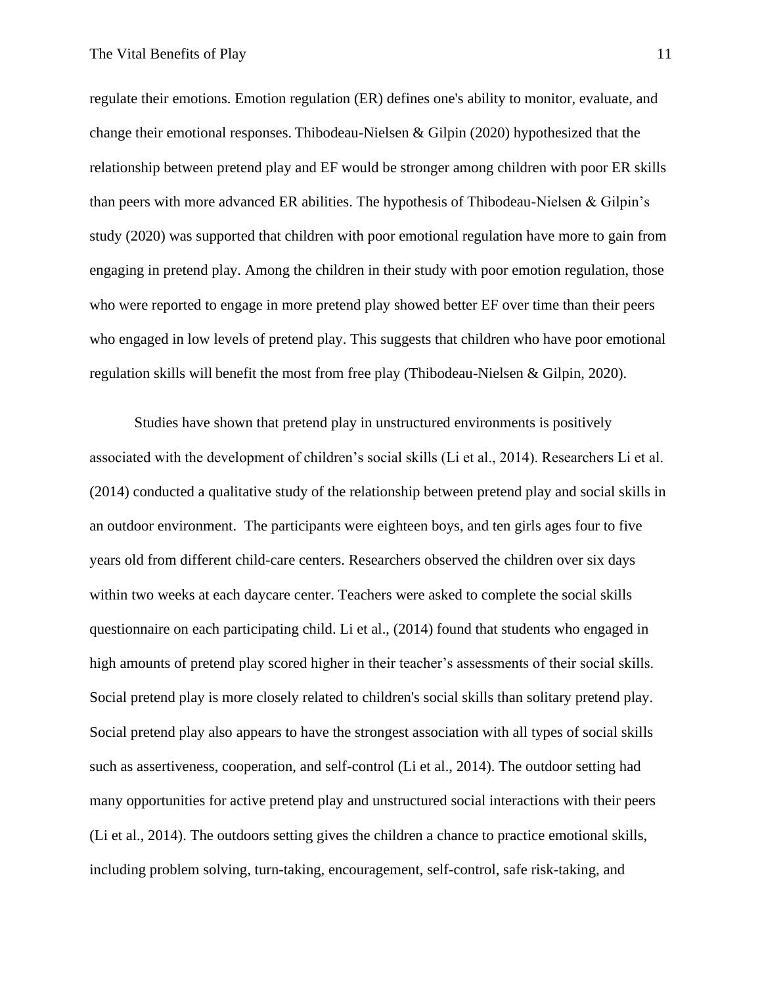regulate their emotions. Emotion regulation (ER) defines one's ability to monitor, evaluate, and change their emotional responses. Thibodeau-Nielsen & Gilpin (2020) hypothesized that the relationship between pretend play and EF would be stronger among children with poor ER skills than peers with more advanced ER abilities. The hypothesis of Thibodeau-Nielsen & Gilpin's study (2020) was supported that children with poor emotional regulation have more to gain from engaging in pretend play. Among the children in their study with poor emotion regulation, those who were reported to engage in more pretend play showed better EF over time than their peers who engaged in low levels of pretend play. This suggests that children who have poor emotional regulation skills will benefit the most from free play (Thibodeau-Nielsen & Gilpin, 2020).

Studies have shown that pretend play in unstructured environments is positively associated with the development of children's social skills (Li et al., 2014). Researchers Li et al. (2014) conducted a qualitative study of the relationship between pretend play and social skills in an outdoor environment. The participants were eighteen boys, and ten girls ages four to five years old from different child-care centers. Researchers observed the children over six days within two weeks at each daycare center. Teachers were asked to complete the social skills questionnaire on each participating child. Li et al., (2014) found that students who engaged in high amounts of pretend play scored higher in their teacher's assessments of their social skills. Social pretend play is more closely related to children's social skills than solitary pretend play. Social pretend play also appears to have the strongest association with all types of social skills such as assertiveness, cooperation, and self-control (Li et al., 2014). The outdoor setting had many opportunities for active pretend play and unstructured social interactions with their peers (Li et al., 2014). The outdoors setting gives the children a chance to practice emotional skills, including problem solving, turn-taking, encouragement, self-control, safe risk-taking, and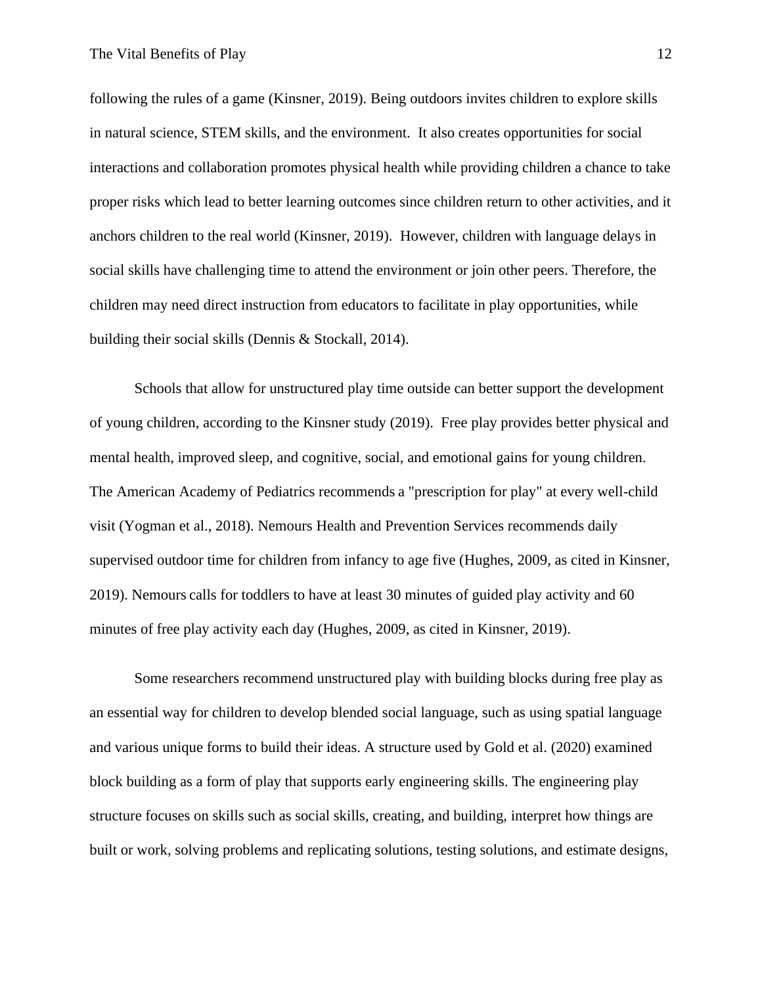following the rules of a game (Kinsner, 2019). Being outdoors invites children to explore skills in natural science, STEM skills, and the environment. It also creates opportunities for social interactions and collaboration promotes physical health while providing children a chance to take proper risks which lead to better learning outcomes since children return to other activities, and it anchors children to the real world (Kinsner, 2019). However, children with language delays in social skills have challenging time to attend the environment or join other peers. Therefore, the children may need direct instruction from educators to facilitate in play opportunities, while building their social skills (Dennis & Stockall, 2014).

Schools that allow for unstructured play time outside can better support the development of young children, according to the Kinsner study (2019). Free play provides better physical and mental health, improved sleep, and cognitive, social, and emotional gains for young children. The American Academy of Pediatrics recommends a "prescription for play" at every well-child visit (Yogman et al., 2018). Nemours Health and Prevention Services recommends daily supervised outdoor time for children from infancy to age five (Hughes, 2009, as cited in Kinsner, 2019). Nemours calls for toddlers to have at least 30 minutes of guided play activity and 60 minutes of free play activity each day (Hughes, 2009, as cited in Kinsner, 2019).

Some researchers recommend unstructured play with building blocks during free play as an essential way for children to develop blended social language, such as using spatial language and various unique forms to build their ideas. A structure used by Gold et al. (2020) examined block building as a form of play that supports early engineering skills. The engineering play structure focuses on skills such as social skills, creating, and building, interpret how things are built or work, solving problems and replicating solutions, testing solutions, and estimate designs,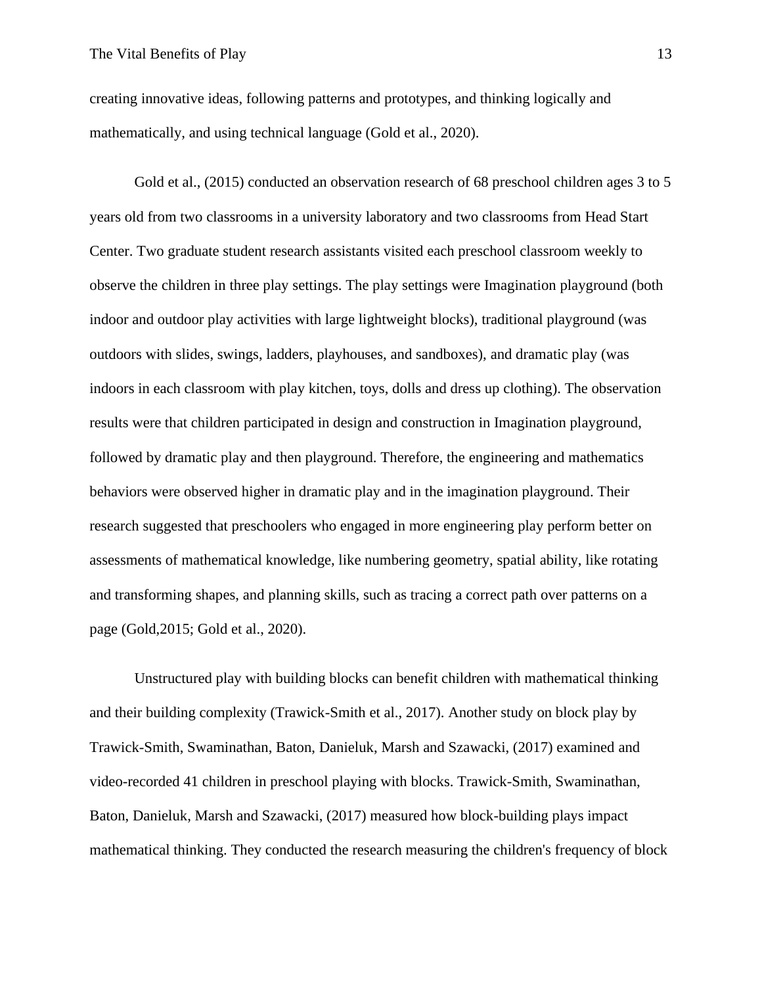creating innovative ideas, following patterns and prototypes, and thinking logically and mathematically, and using technical language (Gold et al., 2020).

Gold et al., (2015) conducted an observation research of 68 preschool children ages 3 to 5 years old from two classrooms in a university laboratory and two classrooms from Head Start Center. Two graduate student research assistants visited each preschool classroom weekly to observe the children in three play settings. The play settings were Imagination playground (both indoor and outdoor play activities with large lightweight blocks), traditional playground (was outdoors with slides, swings, ladders, playhouses, and sandboxes), and dramatic play (was indoors in each classroom with play kitchen, toys, dolls and dress up clothing). The observation results were that children participated in design and construction in Imagination playground, followed by dramatic play and then playground. Therefore, the engineering and mathematics behaviors were observed higher in dramatic play and in the imagination playground. Their research suggested that preschoolers who engaged in more engineering play perform better on assessments of mathematical knowledge, like numbering geometry, spatial ability, like rotating and transforming shapes, and planning skills, such as tracing a correct path over patterns on a page (Gold,2015; Gold et al., 2020).

Unstructured play with building blocks can benefit children with mathematical thinking and their building complexity (Trawick-Smith et al., 2017). Another study on block play by Trawick-Smith, Swaminathan, Baton, Danieluk, Marsh and Szawacki, (2017) examined and video-recorded 41 children in preschool playing with blocks. Trawick-Smith, Swaminathan, Baton, Danieluk, Marsh and Szawacki, (2017) measured how block-building plays impact mathematical thinking. They conducted the research measuring the children's frequency of block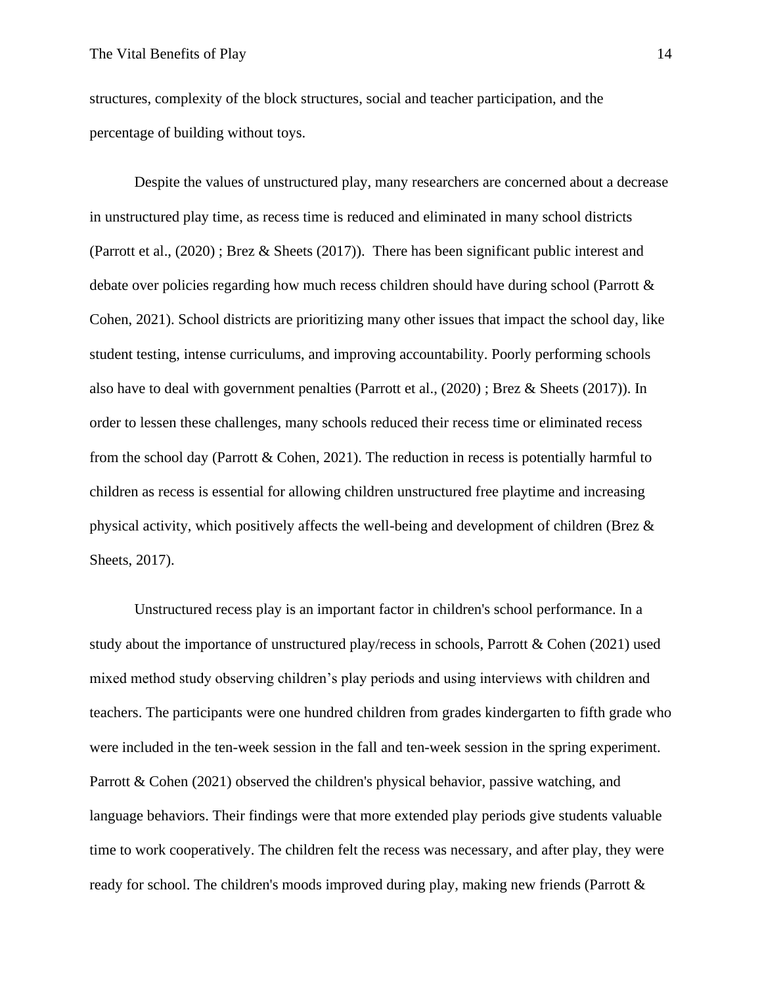structures, complexity of the block structures, social and teacher participation, and the percentage of building without toys.

Despite the values of unstructured play, many researchers are concerned about a decrease in unstructured play time, as recess time is reduced and eliminated in many school districts (Parrott et al., (2020) ; Brez & Sheets (2017)). There has been significant public interest and debate over policies regarding how much recess children should have during school (Parrott & Cohen, 2021). School districts are prioritizing many other issues that impact the school day, like student testing, intense curriculums, and improving accountability. Poorly performing schools also have to deal with government penalties (Parrott et al., (2020) ; Brez & Sheets (2017)). In order to lessen these challenges, many schools reduced their recess time or eliminated recess from the school day (Parrott  $& Cohen, 2021$ ). The reduction in recess is potentially harmful to children as recess is essential for allowing children unstructured free playtime and increasing physical activity, which positively affects the well-being and development of children (Brez & Sheets, 2017).

Unstructured recess play is an important factor in children's school performance. In a study about the importance of unstructured play/recess in schools, Parrott & Cohen (2021) used mixed method study observing children's play periods and using interviews with children and teachers. The participants were one hundred children from grades kindergarten to fifth grade who were included in the ten-week session in the fall and ten-week session in the spring experiment. Parrott & Cohen (2021) observed the children's physical behavior, passive watching, and language behaviors. Their findings were that more extended play periods give students valuable time to work cooperatively. The children felt the recess was necessary, and after play, they were ready for school. The children's moods improved during play, making new friends (Parrott &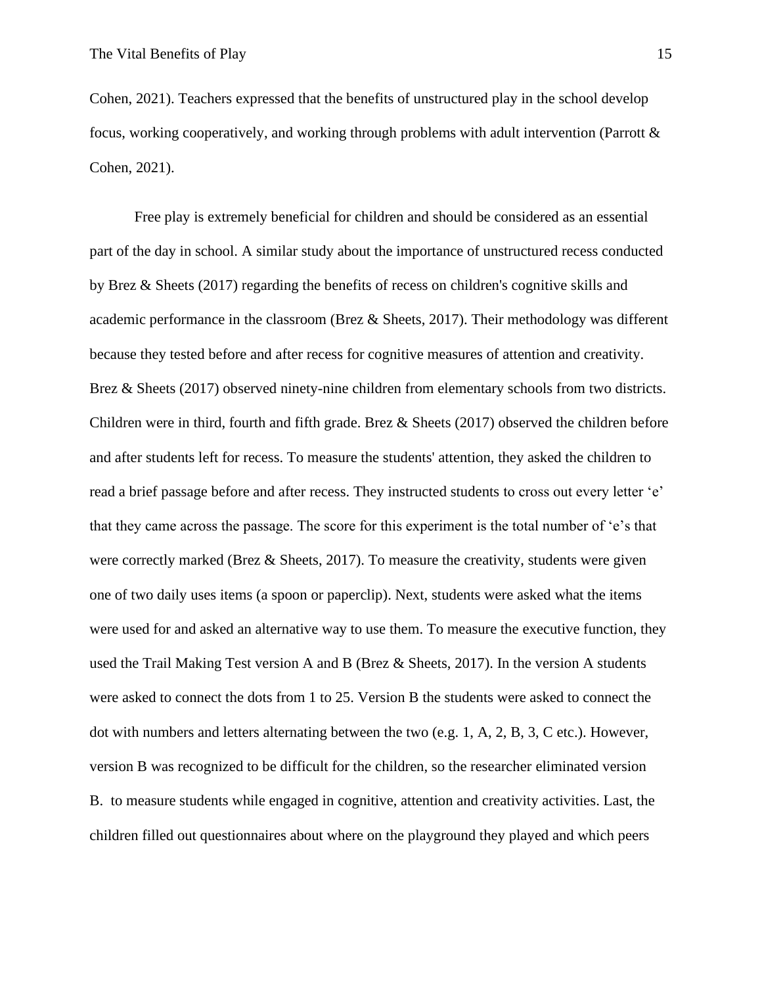Cohen, 2021). Teachers expressed that the benefits of unstructured play in the school develop focus, working cooperatively, and working through problems with adult intervention (Parrott & Cohen, 2021).

Free play is extremely beneficial for children and should be considered as an essential part of the day in school. A similar study about the importance of unstructured recess conducted by Brez & Sheets (2017) regarding the benefits of recess on children's cognitive skills and academic performance in the classroom (Brez & Sheets, 2017). Their methodology was different because they tested before and after recess for cognitive measures of attention and creativity. Brez & Sheets (2017) observed ninety-nine children from elementary schools from two districts. Children were in third, fourth and fifth grade. Brez  $\&$  Sheets (2017) observed the children before and after students left for recess. To measure the students' attention, they asked the children to read a brief passage before and after recess. They instructed students to cross out every letter 'e' that they came across the passage. The score for this experiment is the total number of 'e's that were correctly marked (Brez  $\&$  Sheets, 2017). To measure the creativity, students were given one of two daily uses items (a spoon or paperclip). Next, students were asked what the items were used for and asked an alternative way to use them. To measure the executive function, they used the Trail Making Test version A and B (Brez  $\&$  Sheets, 2017). In the version A students were asked to connect the dots from 1 to 25. Version B the students were asked to connect the dot with numbers and letters alternating between the two (e.g. 1, A, 2, B, 3, C etc.). However, version B was recognized to be difficult for the children, so the researcher eliminated version B. to measure students while engaged in cognitive, attention and creativity activities. Last, the children filled out questionnaires about where on the playground they played and which peers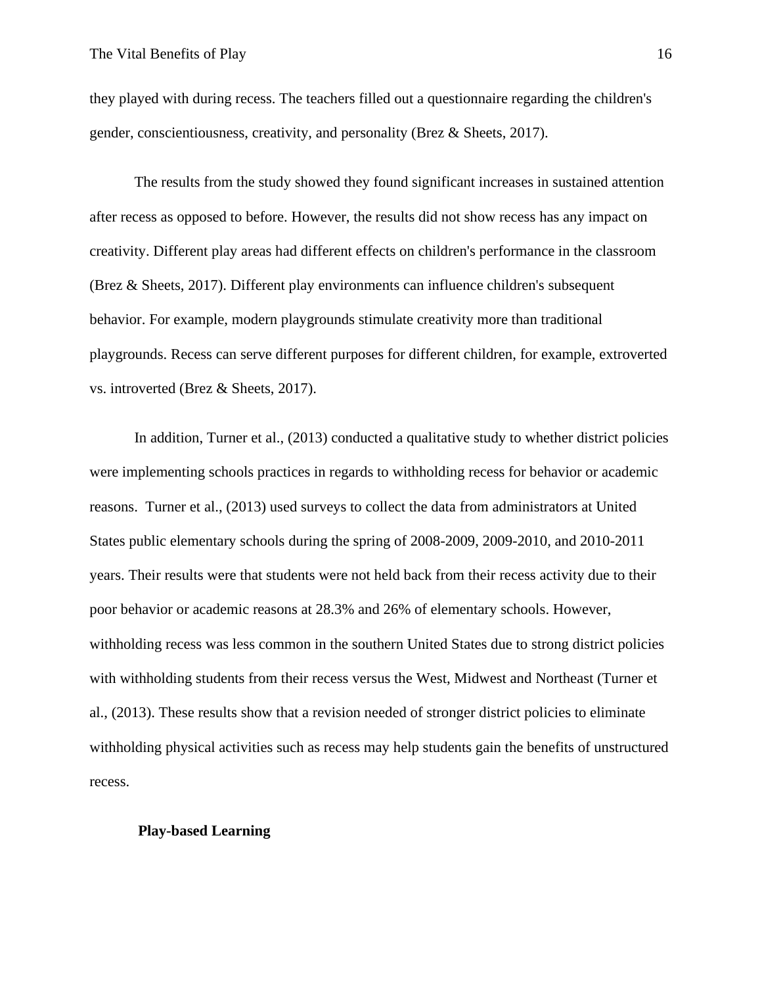they played with during recess. The teachers filled out a questionnaire regarding the children's gender, conscientiousness, creativity, and personality (Brez & Sheets, 2017).

The results from the study showed they found significant increases in sustained attention after recess as opposed to before. However, the results did not show recess has any impact on creativity. Different play areas had different effects on children's performance in the classroom (Brez & Sheets, 2017). Different play environments can influence children's subsequent behavior. For example, modern playgrounds stimulate creativity more than traditional playgrounds. Recess can serve different purposes for different children, for example, extroverted vs. introverted (Brez & Sheets, 2017).

In addition, Turner et al., (2013) conducted a qualitative study to whether district policies were implementing schools practices in regards to withholding recess for behavior or academic reasons. Turner et al., (2013) used surveys to collect the data from administrators at United States public elementary schools during the spring of 2008-2009, 2009-2010, and 2010-2011 years. Their results were that students were not held back from their recess activity due to their poor behavior or academic reasons at 28.3% and 26% of elementary schools. However, withholding recess was less common in the southern United States due to strong district policies with withholding students from their recess versus the West, Midwest and Northeast (Turner et al., (2013). These results show that a revision needed of stronger district policies to eliminate withholding physical activities such as recess may help students gain the benefits of unstructured recess.

#### **Play-based Learning**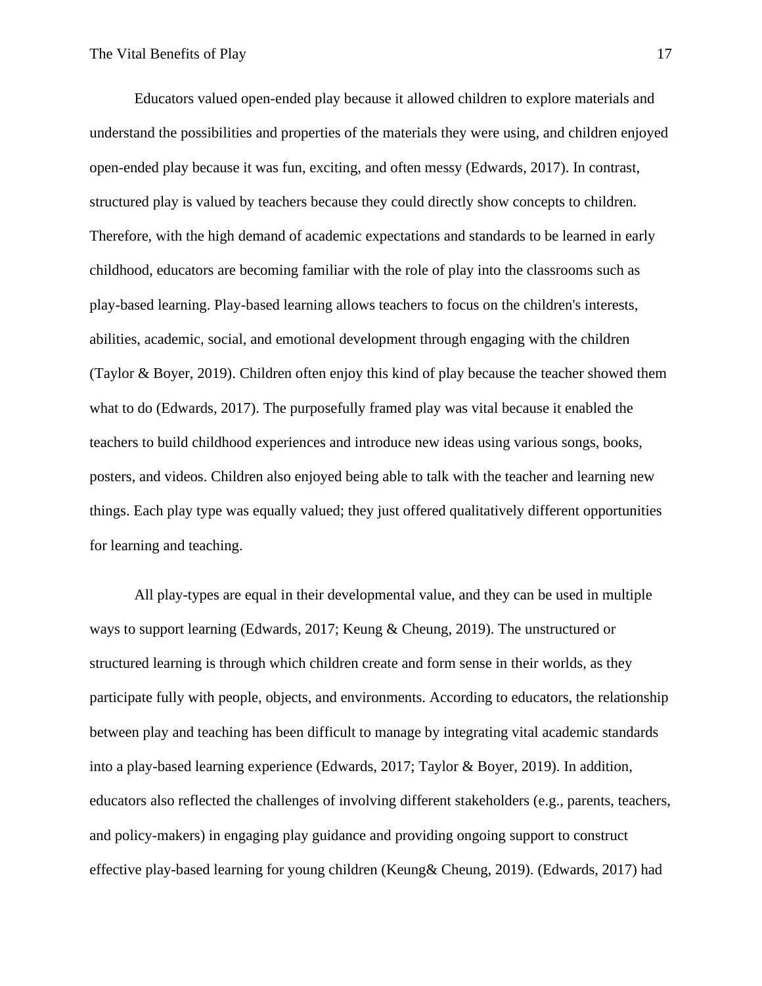Educators valued open-ended play because it allowed children to explore materials and understand the possibilities and properties of the materials they were using, and children enjoyed open-ended play because it was fun, exciting, and often messy (Edwards, 2017). In contrast, structured play is valued by teachers because they could directly show concepts to children. Therefore, with the high demand of academic expectations and standards to be learned in early childhood, educators are becoming familiar with the role of play into the classrooms such as play-based learning. Play-based learning allows teachers to focus on the children's interests, abilities, academic, social, and emotional development through engaging with the children (Taylor & Boyer, 2019). Children often enjoy this kind of play because the teacher showed them what to do (Edwards, 2017). The purposefully framed play was vital because it enabled the teachers to build childhood experiences and introduce new ideas using various songs, books, posters, and videos. Children also enjoyed being able to talk with the teacher and learning new things. Each play type was equally valued; they just offered qualitatively different opportunities for learning and teaching.

All play-types are equal in their developmental value, and they can be used in multiple ways to support learning (Edwards, 2017; Keung & Cheung, 2019). The unstructured or structured learning is through which children create and form sense in their worlds, as they participate fully with people, objects, and environments. According to educators, the relationship between play and teaching has been difficult to manage by integrating vital academic standards into a play-based learning experience (Edwards, 2017; Taylor & Boyer, 2019). In addition, educators also reflected the challenges of involving different stakeholders (e.g., parents, teachers, and policy-makers) in engaging play guidance and providing ongoing support to construct effective play-based learning for young children (Keung& Cheung, 2019). (Edwards, 2017) had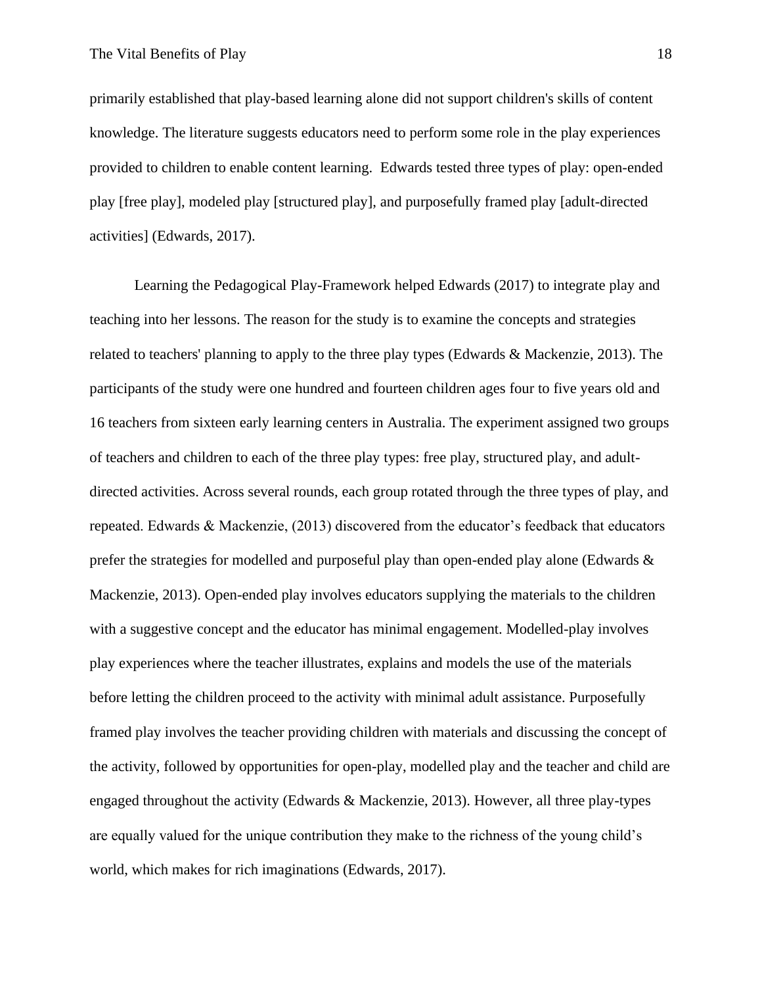primarily established that play-based learning alone did not support children's skills of content knowledge. The literature suggests educators need to perform some role in the play experiences provided to children to enable content learning. Edwards tested three types of play: open-ended play [free play], modeled play [structured play], and purposefully framed play [adult-directed activities] (Edwards, 2017).

Learning the Pedagogical Play-Framework helped Edwards (2017) to integrate play and teaching into her lessons. The reason for the study is to examine the concepts and strategies related to teachers' planning to apply to the three play types (Edwards & Mackenzie, 2013). The participants of the study were one hundred and fourteen children ages four to five years old and 16 teachers from sixteen early learning centers in Australia. The experiment assigned two groups of teachers and children to each of the three play types: free play, structured play, and adultdirected activities. Across several rounds, each group rotated through the three types of play, and repeated. Edwards & Mackenzie, (2013) discovered from the educator's feedback that educators prefer the strategies for modelled and purposeful play than open-ended play alone (Edwards & Mackenzie, 2013). Open-ended play involves educators supplying the materials to the children with a suggestive concept and the educator has minimal engagement. Modelled-play involves play experiences where the teacher illustrates, explains and models the use of the materials before letting the children proceed to the activity with minimal adult assistance. Purposefully framed play involves the teacher providing children with materials and discussing the concept of the activity, followed by opportunities for open-play, modelled play and the teacher and child are engaged throughout the activity (Edwards & Mackenzie, 2013). However, all three play-types are equally valued for the unique contribution they make to the richness of the young child's world, which makes for rich imaginations (Edwards, 2017).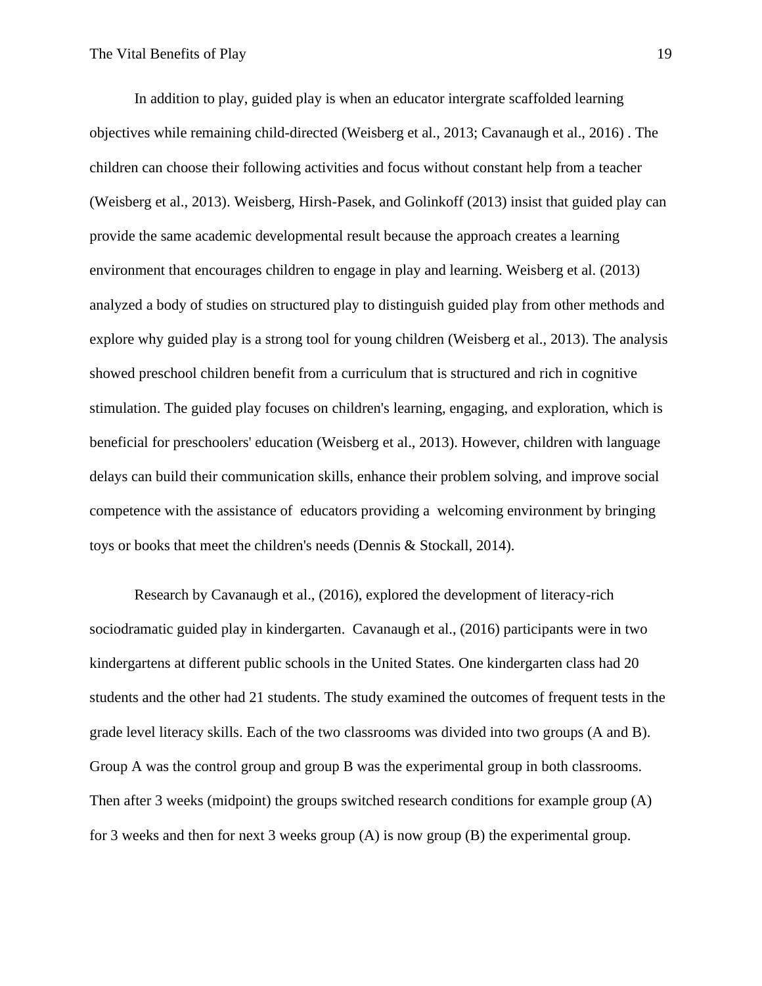In addition to play, guided play is when an educator intergrate scaffolded learning objectives while remaining child-directed (Weisberg et al., 2013; Cavanaugh et al., 2016) . The children can choose their following activities and focus without constant help from a teacher (Weisberg et al., 2013). Weisberg, Hirsh-Pasek, and Golinkoff (2013) insist that guided play can provide the same academic developmental result because the approach creates a learning environment that encourages children to engage in play and learning. Weisberg et al. (2013) analyzed a body of studies on structured play to distinguish guided play from other methods and explore why guided play is a strong tool for young children (Weisberg et al., 2013). The analysis showed preschool children benefit from a curriculum that is structured and rich in cognitive stimulation. The guided play focuses on children's learning, engaging, and exploration, which is beneficial for preschoolers' education (Weisberg et al., 2013). However, children with language delays can build their communication skills, enhance their problem solving, and improve social competence with the assistance of educators providing a welcoming environment by bringing toys or books that meet the children's needs (Dennis & Stockall, 2014).

Research by Cavanaugh et al., (2016), explored the development of literacy-rich sociodramatic guided play in kindergarten. Cavanaugh et al., (2016) participants were in two kindergartens at different public schools in the United States. One kindergarten class had 20 students and the other had 21 students. The study examined the outcomes of frequent tests in the grade level literacy skills. Each of the two classrooms was divided into two groups (A and B). Group A was the control group and group B was the experimental group in both classrooms. Then after 3 weeks (midpoint) the groups switched research conditions for example group (A) for 3 weeks and then for next 3 weeks group (A) is now group (B) the experimental group.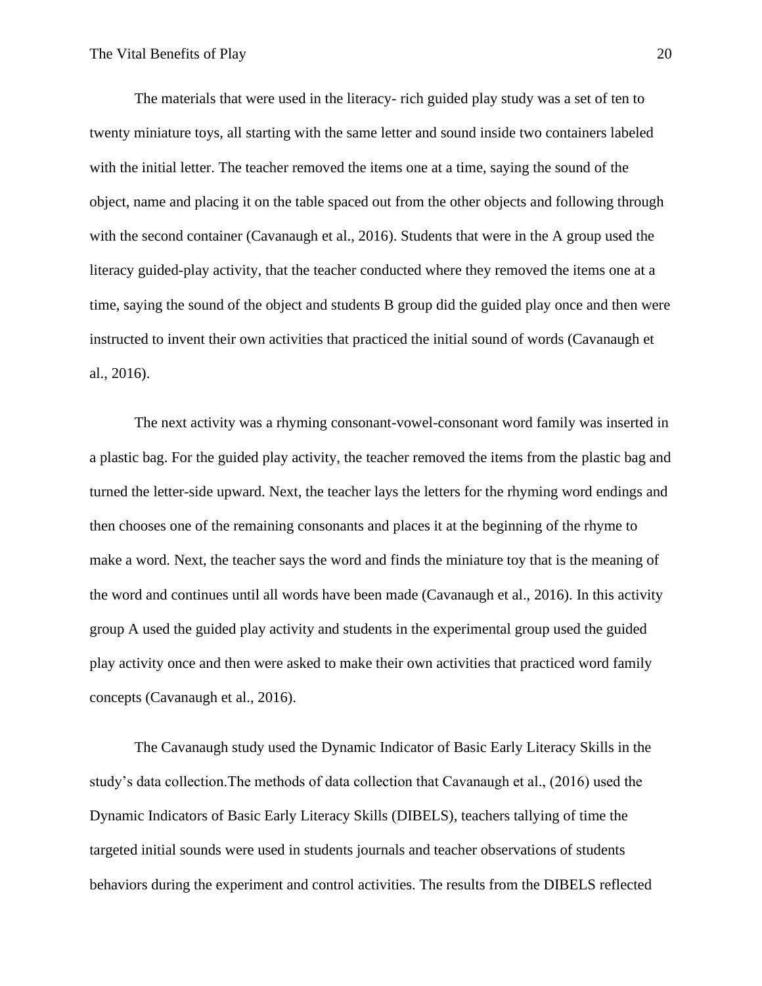The materials that were used in the literacy- rich guided play study was a set of ten to twenty miniature toys, all starting with the same letter and sound inside two containers labeled with the initial letter. The teacher removed the items one at a time, saying the sound of the object, name and placing it on the table spaced out from the other objects and following through with the second container (Cavanaugh et al., 2016). Students that were in the A group used the literacy guided-play activity, that the teacher conducted where they removed the items one at a time, saying the sound of the object and students B group did the guided play once and then were instructed to invent their own activities that practiced the initial sound of words (Cavanaugh et al., 2016).

The next activity was a rhyming consonant-vowel-consonant word family was inserted in a plastic bag. For the guided play activity, the teacher removed the items from the plastic bag and turned the letter-side upward. Next, the teacher lays the letters for the rhyming word endings and then chooses one of the remaining consonants and places it at the beginning of the rhyme to make a word. Next, the teacher says the word and finds the miniature toy that is the meaning of the word and continues until all words have been made (Cavanaugh et al., 2016). In this activity group A used the guided play activity and students in the experimental group used the guided play activity once and then were asked to make their own activities that practiced word family concepts (Cavanaugh et al., 2016).

The Cavanaugh study used the Dynamic Indicator of Basic Early Literacy Skills in the study's data collection.The methods of data collection that Cavanaugh et al., (2016) used the Dynamic Indicators of Basic Early Literacy Skills (DIBELS), teachers tallying of time the targeted initial sounds were used in students journals and teacher observations of students behaviors during the experiment and control activities. The results from the DIBELS reflected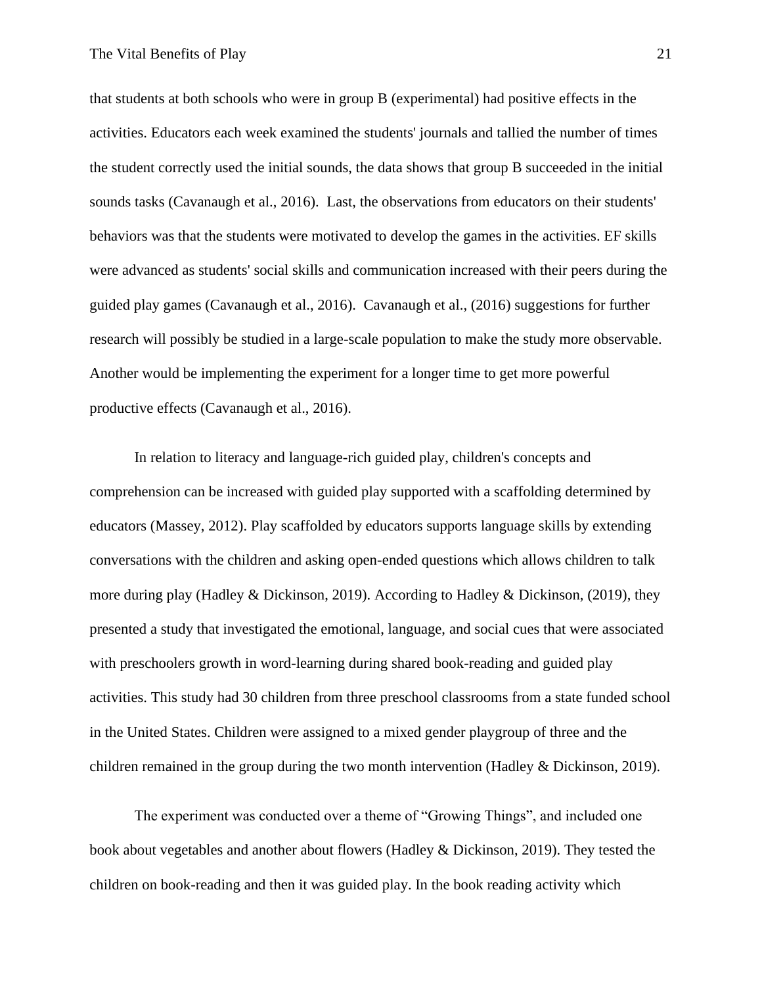that students at both schools who were in group B (experimental) had positive effects in the activities. Educators each week examined the students' journals and tallied the number of times the student correctly used the initial sounds, the data shows that group B succeeded in the initial sounds tasks (Cavanaugh et al., 2016). Last, the observations from educators on their students' behaviors was that the students were motivated to develop the games in the activities. EF skills were advanced as students' social skills and communication increased with their peers during the guided play games (Cavanaugh et al., 2016). Cavanaugh et al., (2016) suggestions for further research will possibly be studied in a large-scale population to make the study more observable. Another would be implementing the experiment for a longer time to get more powerful productive effects (Cavanaugh et al., 2016).

In relation to literacy and language-rich guided play, children's concepts and comprehension can be increased with guided play supported with a scaffolding determined by educators (Massey, 2012). Play scaffolded by educators supports language skills by extending conversations with the children and asking open-ended questions which allows children to talk more during play (Hadley & Dickinson, 2019). According to Hadley & Dickinson, (2019), they presented a study that investigated the emotional, language, and social cues that were associated with preschoolers growth in word-learning during shared book-reading and guided play activities. This study had 30 children from three preschool classrooms from a state funded school in the United States. Children were assigned to a mixed gender playgroup of three and the children remained in the group during the two month intervention (Hadley & Dickinson, 2019).

The experiment was conducted over a theme of "Growing Things", and included one book about vegetables and another about flowers (Hadley & Dickinson, 2019). They tested the children on book-reading and then it was guided play. In the book reading activity which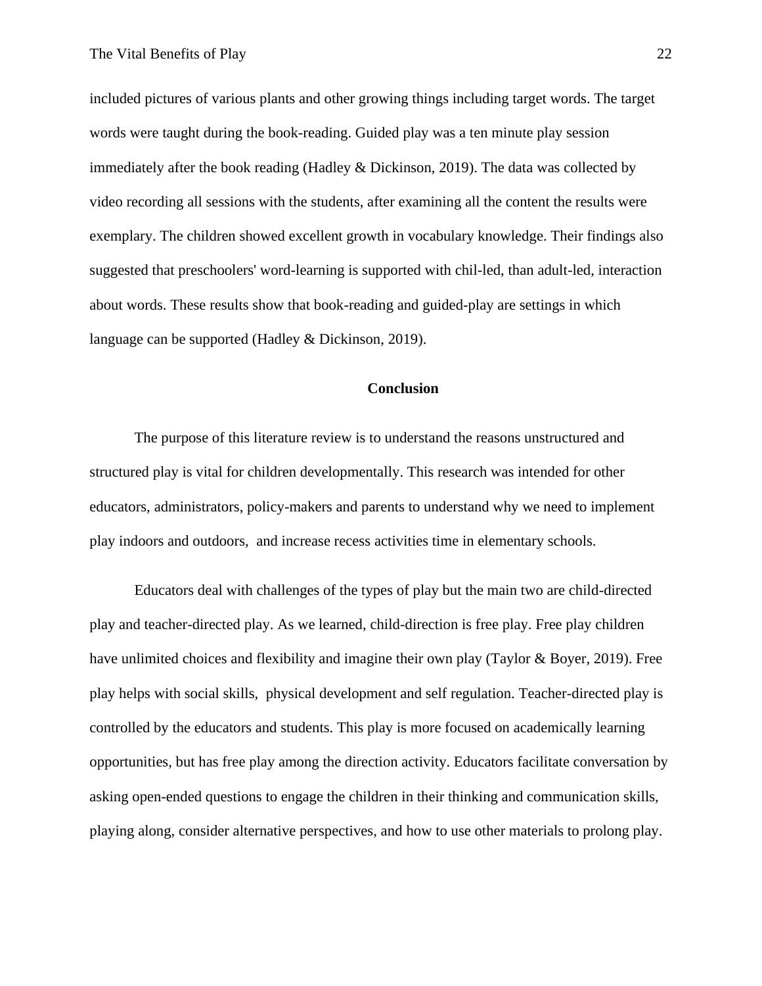included pictures of various plants and other growing things including target words. The target words were taught during the book-reading. Guided play was a ten minute play session immediately after the book reading (Hadley & Dickinson, 2019). The data was collected by video recording all sessions with the students, after examining all the content the results were exemplary. The children showed excellent growth in vocabulary knowledge. Their findings also suggested that preschoolers' word-learning is supported with chil-led, than adult-led, interaction about words. These results show that book-reading and guided-play are settings in which language can be supported (Hadley & Dickinson, 2019).

#### **Conclusion**

The purpose of this literature review is to understand the reasons unstructured and structured play is vital for children developmentally. This research was intended for other educators, administrators, policy-makers and parents to understand why we need to implement play indoors and outdoors, and increase recess activities time in elementary schools.

Educators deal with challenges of the types of play but the main two are child-directed play and teacher-directed play. As we learned, child-direction is free play. Free play children have unlimited choices and flexibility and imagine their own play (Taylor & Boyer, 2019). Free play helps with social skills, physical development and self regulation. Teacher-directed play is controlled by the educators and students. This play is more focused on academically learning opportunities, but has free play among the direction activity. Educators facilitate conversation by asking open-ended questions to engage the children in their thinking and communication skills, playing along, consider alternative perspectives, and how to use other materials to prolong play.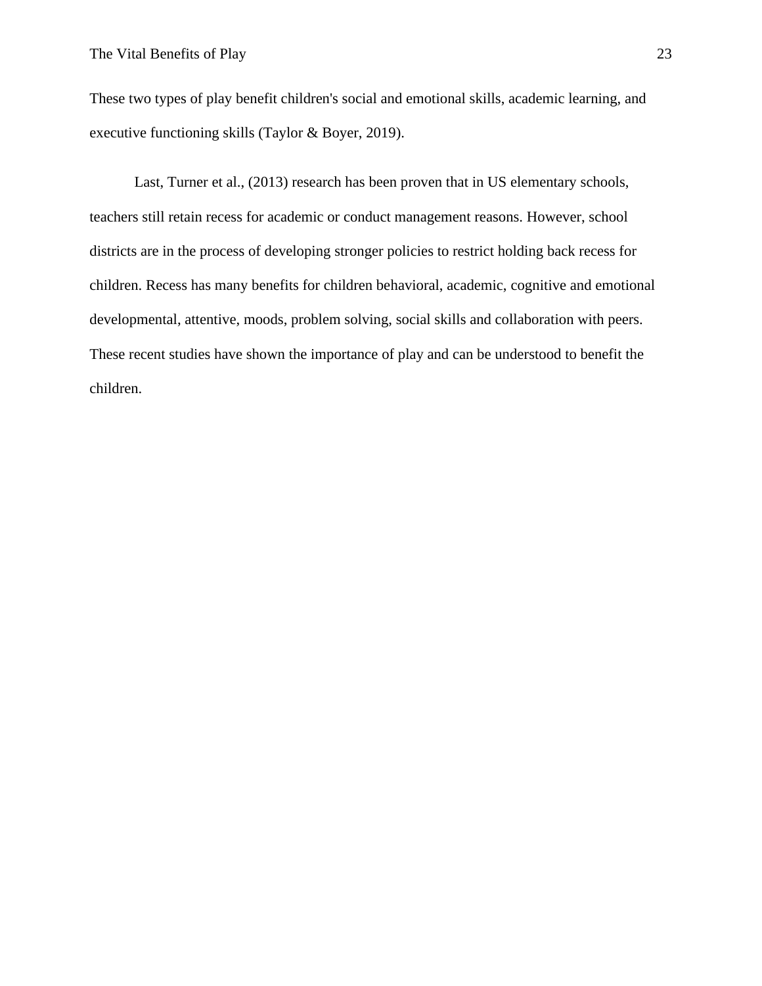These two types of play benefit children's social and emotional skills, academic learning, and executive functioning skills (Taylor & Boyer, 2019).

Last, Turner et al., (2013) research has been proven that in US elementary schools, teachers still retain recess for academic or conduct management reasons. However, school districts are in the process of developing stronger policies to restrict holding back recess for children. Recess has many benefits for children behavioral, academic, cognitive and emotional developmental, attentive, moods, problem solving, social skills and collaboration with peers. These recent studies have shown the importance of play and can be understood to benefit the children.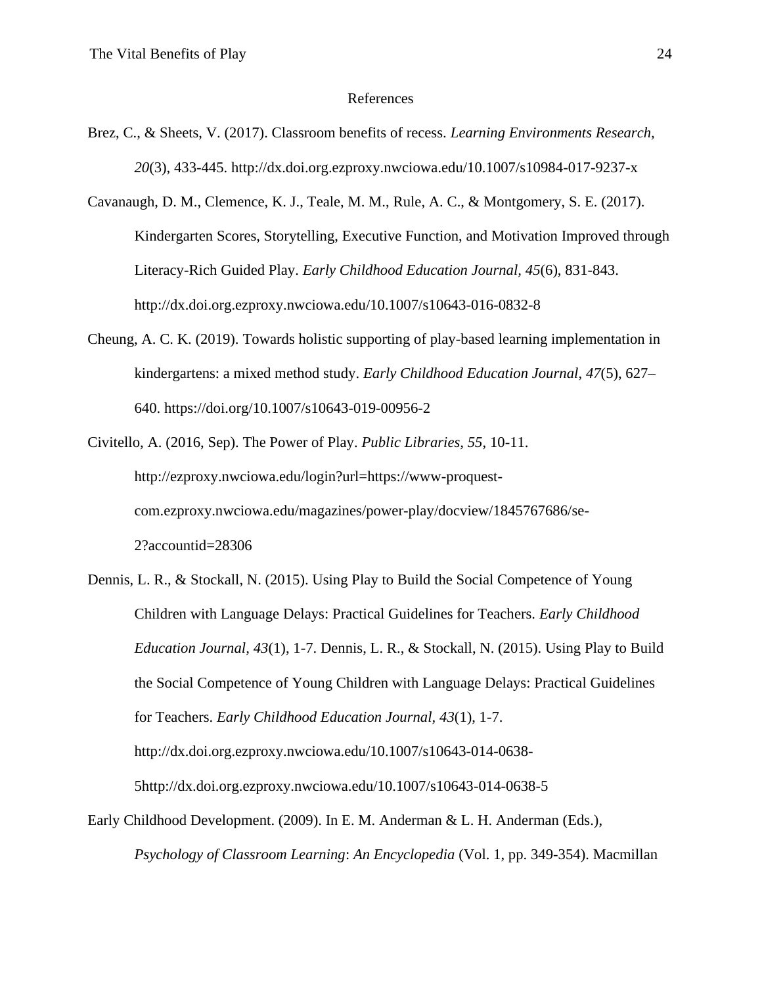#### References

- Brez, C., & Sheets, V. (2017). Classroom benefits of recess. *Learning Environments Research, 20*(3), 433-445. http://dx.doi.org.ezproxy.nwciowa.edu/10.1007/s10984-017-9237-x
- Cavanaugh, D. M., Clemence, K. J., Teale, M. M., Rule, A. C., & Montgomery, S. E. (2017). Kindergarten Scores, Storytelling, Executive Function, and Motivation Improved through Literacy-Rich Guided Play. *Early Childhood Education Journal, 45*(6), 831-843. http://dx.doi.org.ezproxy.nwciowa.edu/10.1007/s10643-016-0832-8
- Cheung, A. C. K. (2019). Towards holistic supporting of play-based learning implementation in kindergartens: a mixed method study. *Early Childhood Education Journal*, *47*(5), 627– 640. https://doi.org/10.1007/s10643-019-00956-2
- Civitello, A. (2016, Sep). The Power of Play. *Public Libraries, 55*, 10-11. http://ezproxy.nwciowa.edu/login?url=https://www-proquestcom.ezproxy.nwciowa.edu/magazines/power-play/docview/1845767686/se-2?accountid=28306
- Dennis, L. R., & Stockall, N. (2015). Using Play to Build the Social Competence of Young Children with Language Delays: Practical Guidelines for Teachers. *Early Childhood Education Journal, 43*(1), 1-7. Dennis, L. R., & Stockall, N. (2015). Using Play to Build the Social Competence of Young Children with Language Delays: Practical Guidelines for Teachers. *Early Childhood Education Journal, 43*(1), 1-7. http://dx.doi.org.ezproxy.nwciowa.edu/10.1007/s10643-014-0638- 5http://dx.doi.org.ezproxy.nwciowa.edu/10.1007/s10643-014-0638-5
- Early Childhood Development. (2009). In E. M. Anderman & L. H. Anderman (Eds.), *Psychology of Classroom Learning*: *An Encyclopedia* (Vol. 1, pp. 349-354). Macmillan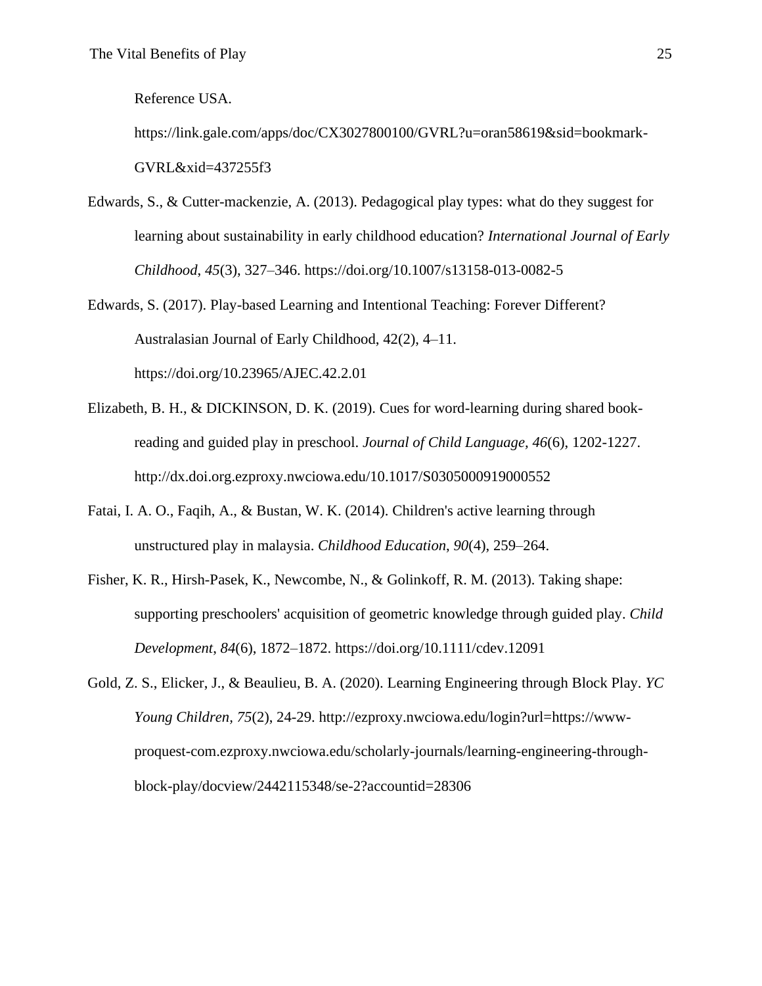Reference USA.

https://link.gale.com/apps/doc/CX3027800100/GVRL?u=oran58619&sid=bookmark-GVRL&xid=437255f3

- Edwards, S., & Cutter-mackenzie, A. (2013). Pedagogical play types: what do they suggest for learning about sustainability in early childhood education? *International Journal of Early Childhood*, *45*(3), 327–346. https://doi.org/10.1007/s13158-013-0082-5
- Edwards, S. (2017). Play-based Learning and Intentional Teaching: Forever Different? Australasian Journal of Early Childhood, 42(2), 4–11. https://doi.org/10.23965/AJEC.42.2.01
- Elizabeth, B. H., & DICKINSON, D. K. (2019). Cues for word-learning during shared bookreading and guided play in preschool. *Journal of Child Language, 46*(6), 1202-1227. http://dx.doi.org.ezproxy.nwciowa.edu/10.1017/S0305000919000552
- Fatai, I. A. O., Faqih, A., & Bustan, W. K. (2014). Children's active learning through unstructured play in malaysia. *Childhood Education*, *90*(4), 259–264.
- Fisher, K. R., Hirsh-Pasek, K., Newcombe, N., & Golinkoff, R. M. (2013). Taking shape: supporting preschoolers' acquisition of geometric knowledge through guided play. *Child Development*, *84*(6), 1872–1872. https://doi.org/10.1111/cdev.12091
- Gold, Z. S., Elicker, J., & Beaulieu, B. A. (2020). Learning Engineering through Block Play. *YC Young Children, 75*(2), 24-29. http://ezproxy.nwciowa.edu/login?url=https://wwwproquest-com.ezproxy.nwciowa.edu/scholarly-journals/learning-engineering-throughblock-play/docview/2442115348/se-2?accountid=28306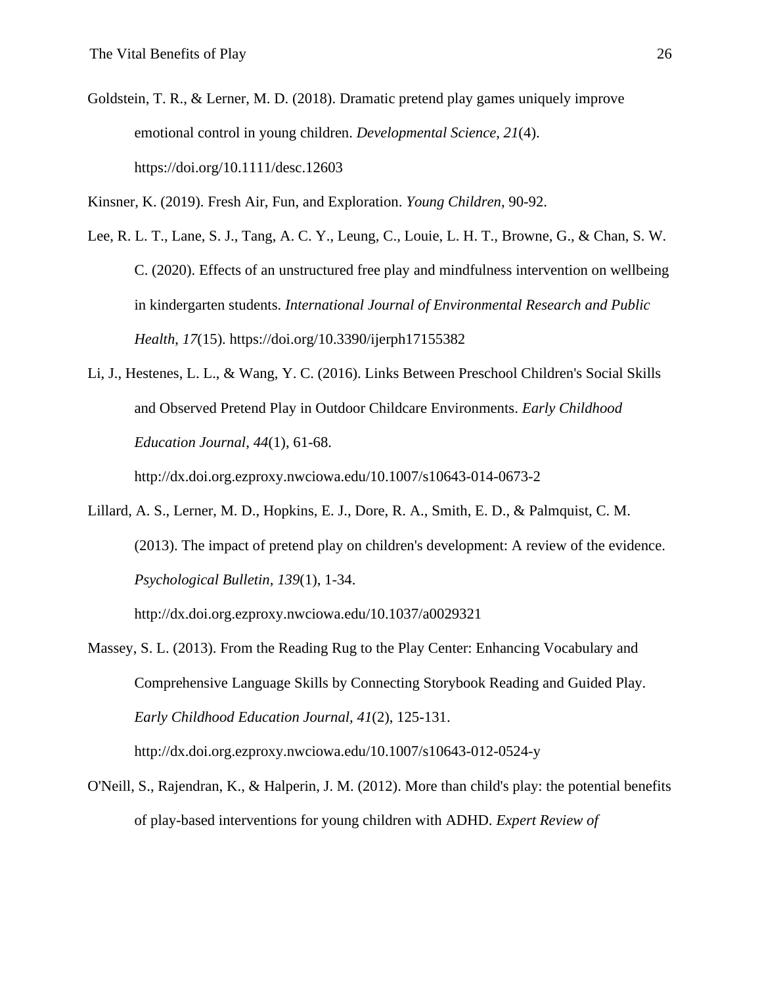Goldstein, T. R., & Lerner, M. D. (2018). Dramatic pretend play games uniquely improve emotional control in young children. *Developmental Science*, *21*(4). https://doi.org/10.1111/desc.12603

Kinsner, K. (2019). Fresh Air, Fun, and Exploration. *Young Children*, 90-92.

- Lee, R. L. T., Lane, S. J., Tang, A. C. Y., Leung, C., Louie, L. H. T., Browne, G., & Chan, S. W. C. (2020). Effects of an unstructured free play and mindfulness intervention on wellbeing in kindergarten students. *International Journal of Environmental Research and Public Health*, *17*(15). https://doi.org/10.3390/ijerph17155382
- Li, J., Hestenes, L. L., & Wang, Y. C. (2016). Links Between Preschool Children's Social Skills and Observed Pretend Play in Outdoor Childcare Environments. *Early Childhood Education Journal, 44*(1), 61-68.

http://dx.doi.org.ezproxy.nwciowa.edu/10.1007/s10643-014-0673-2

Lillard, A. S., Lerner, M. D., Hopkins, E. J., Dore, R. A., Smith, E. D., & Palmquist, C. M. (2013). The impact of pretend play on children's development: A review of the evidence. *Psychological Bulletin, 139*(1), 1-34.

http://dx.doi.org.ezproxy.nwciowa.edu/10.1037/a0029321

Massey, S. L. (2013). From the Reading Rug to the Play Center: Enhancing Vocabulary and Comprehensive Language Skills by Connecting Storybook Reading and Guided Play. *Early Childhood Education Journal, 41*(2), 125-131. http://dx.doi.org.ezproxy.nwciowa.edu/10.1007/s10643-012-0524-y

O'Neill, S., Rajendran, K., & Halperin, J. M. (2012). More than child's play: the potential benefits

of play-based interventions for young children with ADHD. *Expert Review of*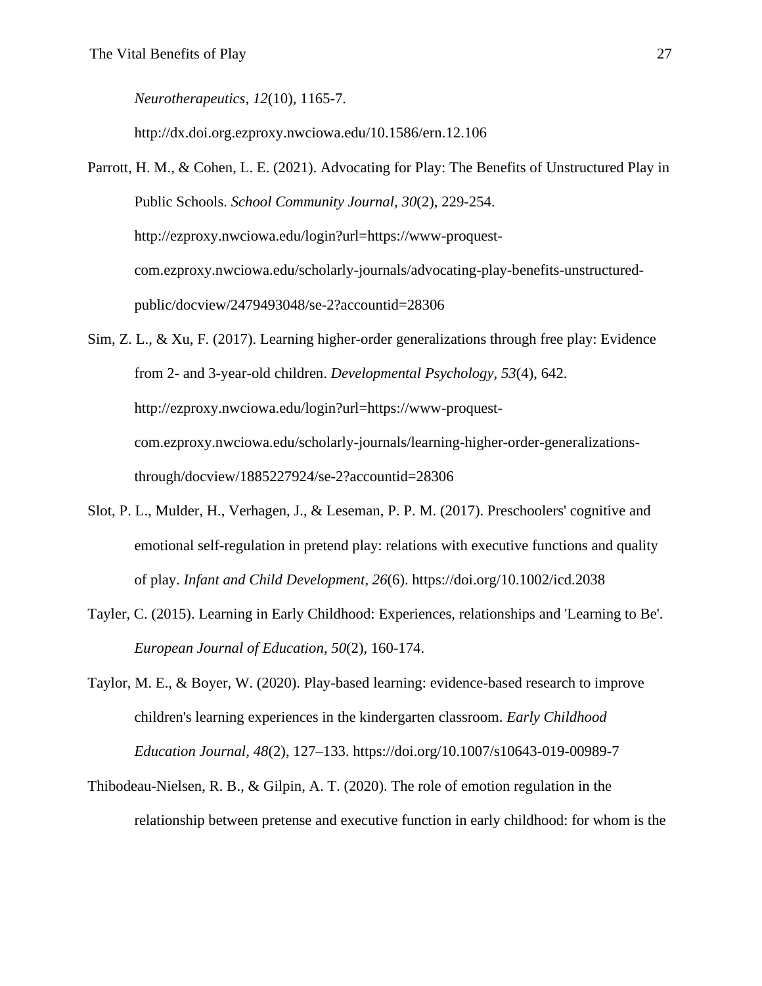*Neurotherapeutics, 12*(10), 1165-7.

http://dx.doi.org.ezproxy.nwciowa.edu/10.1586/ern.12.106

- Parrott, H. M., & Cohen, L. E. (2021). Advocating for Play: The Benefits of Unstructured Play in Public Schools. *School Community Journal, 30*(2), 229-254. http://ezproxy.nwciowa.edu/login?url=https://www-proquestcom.ezproxy.nwciowa.edu/scholarly-journals/advocating-play-benefits-unstructuredpublic/docview/2479493048/se-2?accountid=28306
- Sim, Z. L., & Xu, F. (2017). Learning higher-order generalizations through free play: Evidence from 2- and 3-year-old children. *Developmental Psychology, 53*(4), 642. http://ezproxy.nwciowa.edu/login?url=https://www-proquestcom.ezproxy.nwciowa.edu/scholarly-journals/learning-higher-order-generalizationsthrough/docview/1885227924/se-2?accountid=28306
- Slot, P. L., Mulder, H., Verhagen, J., & Leseman, P. P. M. (2017). Preschoolers' cognitive and emotional self-regulation in pretend play: relations with executive functions and quality of play. *Infant and Child Development*, *26*(6). https://doi.org/10.1002/icd.2038
- Tayler, C. (2015). Learning in Early Childhood: Experiences, relationships and 'Learning to Be'. *European Journal of Education*, *50*(2), 160-174.
- Taylor, M. E., & Boyer, W. (2020). Play-based learning: evidence-based research to improve children's learning experiences in the kindergarten classroom. *Early Childhood Education Journal*, *48*(2), 127–133. https://doi.org/10.1007/s10643-019-00989-7
- Thibodeau-Nielsen, R. B., & Gilpin, A. T. (2020). The role of emotion regulation in the relationship between pretense and executive function in early childhood: for whom is the